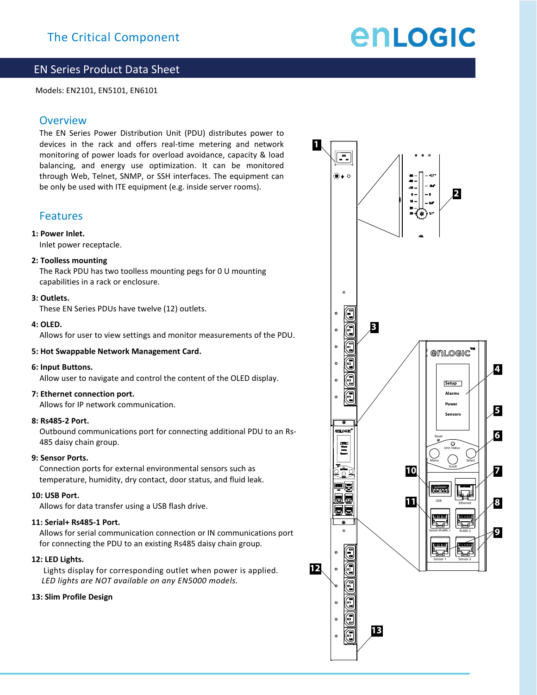# enLogic

## EN Series Product Data Sheet

Models: EN2101, EN5101, EN6101

## **Overview**

The EN Series Power Distribution Unit (PDU) distributes power to devices in the rack and offers real-time metering and network monitoring of power loads for overload avoidance, capacity & load balancing, and energy use optimization. It can be monitored through Web, Telnet, SNMP, or SSH interfaces. The equipment can be only be used with ITE equipment (e.g. inside server rooms).

### Features

#### **1: Power Inlet.**

Inlet power receptacle.

#### **2: Toolless mounting**

The Rack PDU has two toolless mounting pegs for 0 U mounting capabilities in a rack or enclosure.

#### **3: Outlets.**

These EN Series PDUs have twelve (12) outlets.

#### **4: OLED.**

Allows for user to view settings and monitor measurements of the PDU.

#### **5: Hot Swappable Network Management Card.**

#### **6: Input Buttons.**

Allow user to navigate and control the content of the OLED display.

#### **7: Ethernet connection port.**

Allows for IP network communication.

#### **8: Rs485-2 Port.**

Outbound communications port for connecting additional PDU to an Rs-485 daisy chain group.

#### **9: Sensor Ports.**

Connection ports for external environmental sensors such as temperature, humidity, dry contact, door status, and fluid leak.

#### **10: USB Port.**

Allows for data transfer using a USB flash drive.

#### **11: Serial+ Rs485-1 Port.**

Allows for serial communication connection or IN communications port for connecting the PDU to an existing Rs485 daisy chain group.

#### **12: LED Lights.**

Lights display for corresponding outlet when power is applied. *LED lights are NOT available on any EN5000 models.* 

#### **13: Slim Profile Design**